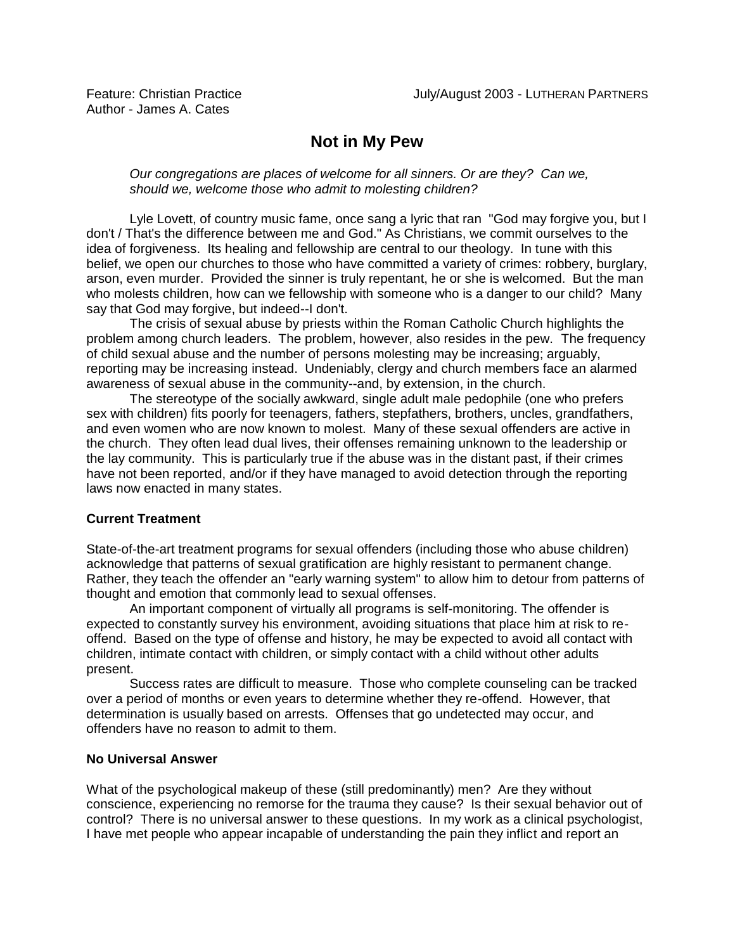# **Not in My Pew**

*Our congregations are places of welcome for all sinners. Or are they? Can we, should we, welcome those who admit to molesting children?* 

Lyle Lovett, of country music fame, once sang a lyric that ran "God may forgive you, but I don't / That's the difference between me and God." As Christians, we commit ourselves to the idea of forgiveness. Its healing and fellowship are central to our theology. In tune with this belief, we open our churches to those who have committed a variety of crimes: robbery, burglary, arson, even murder. Provided the sinner is truly repentant, he or she is welcomed. But the man who molests children, how can we fellowship with someone who is a danger to our child? Many say that God may forgive, but indeed--I don't.

The crisis of sexual abuse by priests within the Roman Catholic Church highlights the problem among church leaders. The problem, however, also resides in the pew. The frequency of child sexual abuse and the number of persons molesting may be increasing; arguably, reporting may be increasing instead. Undeniably, clergy and church members face an alarmed awareness of sexual abuse in the community--and, by extension, in the church.

The stereotype of the socially awkward, single adult male pedophile (one who prefers sex with children) fits poorly for teenagers, fathers, stepfathers, brothers, uncles, grandfathers, and even women who are now known to molest. Many of these sexual offenders are active in the church. They often lead dual lives, their offenses remaining unknown to the leadership or the lay community. This is particularly true if the abuse was in the distant past, if their crimes have not been reported, and/or if they have managed to avoid detection through the reporting laws now enacted in many states.

# **Current Treatment**

State-of-the-art treatment programs for sexual offenders (including those who abuse children) acknowledge that patterns of sexual gratification are highly resistant to permanent change. Rather, they teach the offender an "early warning system" to allow him to detour from patterns of thought and emotion that commonly lead to sexual offenses.

An important component of virtually all programs is self-monitoring. The offender is expected to constantly survey his environment, avoiding situations that place him at risk to reoffend. Based on the type of offense and history, he may be expected to avoid all contact with children, intimate contact with children, or simply contact with a child without other adults present.

Success rates are difficult to measure. Those who complete counseling can be tracked over a period of months or even years to determine whether they re-offend. However, that determination is usually based on arrests. Offenses that go undetected may occur, and offenders have no reason to admit to them.

## **No Universal Answer**

What of the psychological makeup of these (still predominantly) men? Are they without conscience, experiencing no remorse for the trauma they cause? Is their sexual behavior out of control? There is no universal answer to these questions. In my work as a clinical psychologist, I have met people who appear incapable of understanding the pain they inflict and report an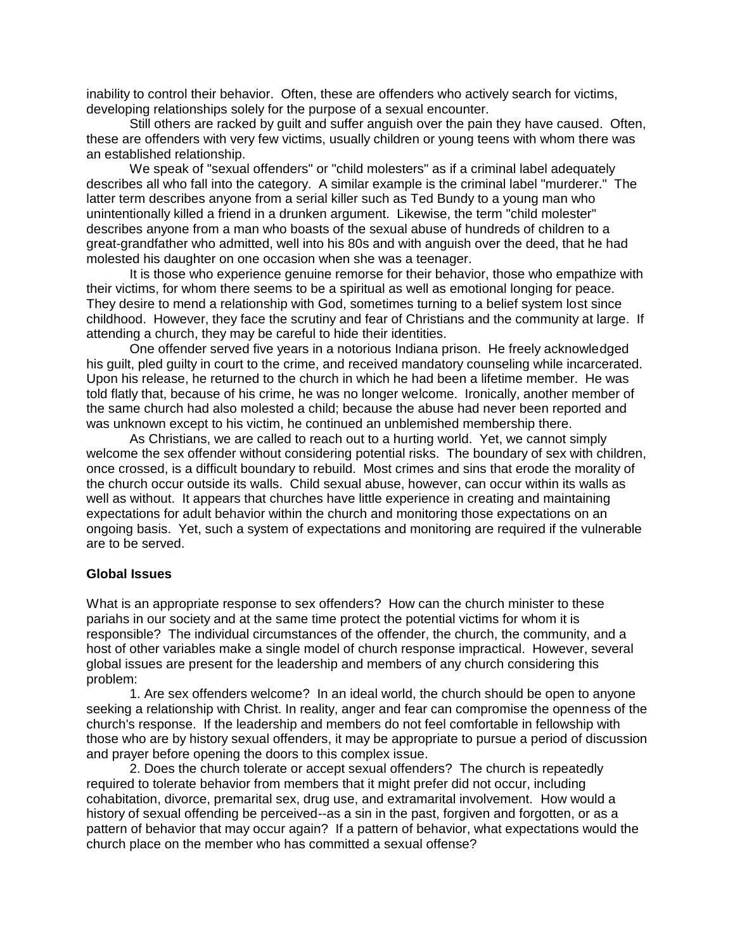inability to control their behavior. Often, these are offenders who actively search for victims, developing relationships solely for the purpose of a sexual encounter.

Still others are racked by guilt and suffer anguish over the pain they have caused. Often, these are offenders with very few victims, usually children or young teens with whom there was an established relationship.

We speak of "sexual offenders" or "child molesters" as if a criminal label adequately describes all who fall into the category. A similar example is the criminal label "murderer." The latter term describes anyone from a serial killer such as Ted Bundy to a young man who unintentionally killed a friend in a drunken argument. Likewise, the term "child molester" describes anyone from a man who boasts of the sexual abuse of hundreds of children to a great-grandfather who admitted, well into his 80s and with anguish over the deed, that he had molested his daughter on one occasion when she was a teenager.

It is those who experience genuine remorse for their behavior, those who empathize with their victims, for whom there seems to be a spiritual as well as emotional longing for peace. They desire to mend a relationship with God, sometimes turning to a belief system lost since childhood. However, they face the scrutiny and fear of Christians and the community at large. If attending a church, they may be careful to hide their identities.

One offender served five years in a notorious Indiana prison. He freely acknowledged his guilt, pled guilty in court to the crime, and received mandatory counseling while incarcerated. Upon his release, he returned to the church in which he had been a lifetime member. He was told flatly that, because of his crime, he was no longer welcome. Ironically, another member of the same church had also molested a child; because the abuse had never been reported and was unknown except to his victim, he continued an unblemished membership there.

As Christians, we are called to reach out to a hurting world. Yet, we cannot simply welcome the sex offender without considering potential risks. The boundary of sex with children, once crossed, is a difficult boundary to rebuild. Most crimes and sins that erode the morality of the church occur outside its walls. Child sexual abuse, however, can occur within its walls as well as without. It appears that churches have little experience in creating and maintaining expectations for adult behavior within the church and monitoring those expectations on an ongoing basis. Yet, such a system of expectations and monitoring are required if the vulnerable are to be served.

#### **Global Issues**

What is an appropriate response to sex offenders? How can the church minister to these pariahs in our society and at the same time protect the potential victims for whom it is responsible? The individual circumstances of the offender, the church, the community, and a host of other variables make a single model of church response impractical. However, several global issues are present for the leadership and members of any church considering this problem:

1. Are sex offenders welcome? In an ideal world, the church should be open to anyone seeking a relationship with Christ. In reality, anger and fear can compromise the openness of the church's response. If the leadership and members do not feel comfortable in fellowship with those who are by history sexual offenders, it may be appropriate to pursue a period of discussion and prayer before opening the doors to this complex issue.

2. Does the church tolerate or accept sexual offenders? The church is repeatedly required to tolerate behavior from members that it might prefer did not occur, including cohabitation, divorce, premarital sex, drug use, and extramarital involvement. How would a history of sexual offending be perceived--as a sin in the past, forgiven and forgotten, or as a pattern of behavior that may occur again? If a pattern of behavior, what expectations would the church place on the member who has committed a sexual offense?